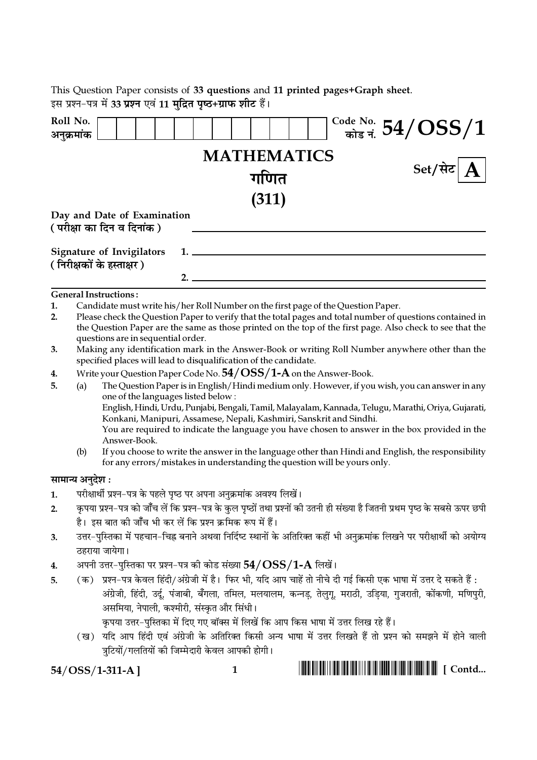|    |                                                                                                                                                                                                                                                                                                             | This Question Paper consists of 33 questions and 11 printed pages+Graph sheet.                                                  |    |              |                    |  |  |                                                                                                                           |  |  |
|----|-------------------------------------------------------------------------------------------------------------------------------------------------------------------------------------------------------------------------------------------------------------------------------------------------------------|---------------------------------------------------------------------------------------------------------------------------------|----|--------------|--------------------|--|--|---------------------------------------------------------------------------------------------------------------------------|--|--|
|    |                                                                                                                                                                                                                                                                                                             | इस प्रश्न-पत्र में 33 प्रश्न एवं 11 मुद्रित पृष्ठ+ग्राफ शीट हैं।                                                                |    |              |                    |  |  |                                                                                                                           |  |  |
|    | Roll No.<br>अनुक्रमांक                                                                                                                                                                                                                                                                                      |                                                                                                                                 |    |              |                    |  |  | $\frac{\text{Code No.}}{\text{angle} \cdot \text{F}} 54/OSS/1$                                                            |  |  |
|    |                                                                                                                                                                                                                                                                                                             |                                                                                                                                 |    |              | <b>MATHEMATICS</b> |  |  |                                                                                                                           |  |  |
|    |                                                                                                                                                                                                                                                                                                             |                                                                                                                                 |    |              | गणित               |  |  | Set/सेट                                                                                                                   |  |  |
|    |                                                                                                                                                                                                                                                                                                             |                                                                                                                                 |    |              | (311)              |  |  |                                                                                                                           |  |  |
|    |                                                                                                                                                                                                                                                                                                             | Day and Date of Examination                                                                                                     |    |              |                    |  |  |                                                                                                                           |  |  |
|    |                                                                                                                                                                                                                                                                                                             | ( परीक्षा का दिन व दिनांक )                                                                                                     |    |              |                    |  |  |                                                                                                                           |  |  |
|    |                                                                                                                                                                                                                                                                                                             |                                                                                                                                 |    |              |                    |  |  |                                                                                                                           |  |  |
|    |                                                                                                                                                                                                                                                                                                             | <b>Signature of Invigilators</b>                                                                                                | 1. |              |                    |  |  |                                                                                                                           |  |  |
|    |                                                                                                                                                                                                                                                                                                             | ( निरीक्षकों के हस्ताक्षर )                                                                                                     | 2. |              |                    |  |  |                                                                                                                           |  |  |
|    |                                                                                                                                                                                                                                                                                                             | <b>General Instructions:</b>                                                                                                    |    |              |                    |  |  |                                                                                                                           |  |  |
| 1. |                                                                                                                                                                                                                                                                                                             |                                                                                                                                 |    |              |                    |  |  |                                                                                                                           |  |  |
| 2. | Candidate must write his/her Roll Number on the first page of the Question Paper.<br>Please check the Question Paper to verify that the total pages and total number of questions contained in<br>the Question Paper are the same as those printed on the top of the first page. Also check to see that the |                                                                                                                                 |    |              |                    |  |  |                                                                                                                           |  |  |
| 3. |                                                                                                                                                                                                                                                                                                             | questions are in sequential order.                                                                                              |    |              |                    |  |  | Making any identification mark in the Answer-Book or writing Roll Number anywhere other than the                          |  |  |
|    |                                                                                                                                                                                                                                                                                                             | specified places will lead to disqualification of the candidate.                                                                |    |              |                    |  |  |                                                                                                                           |  |  |
| 4. |                                                                                                                                                                                                                                                                                                             | Write your Question Paper Code No. $54/OSS/1-A$ on the Answer-Book.                                                             |    |              |                    |  |  |                                                                                                                           |  |  |
| 5. | The Question Paper is in English/Hindi medium only. However, if you wish, you can answer in any<br>(a)<br>one of the languages listed below:                                                                                                                                                                |                                                                                                                                 |    |              |                    |  |  |                                                                                                                           |  |  |
|    |                                                                                                                                                                                                                                                                                                             |                                                                                                                                 |    |              |                    |  |  | English, Hindi, Urdu, Punjabi, Bengali, Tamil, Malayalam, Kannada, Telugu, Marathi, Oriya, Gujarati,                      |  |  |
|    |                                                                                                                                                                                                                                                                                                             | Konkani, Manipuri, Assamese, Nepali, Kashmiri, Sanskrit and Sindhi.                                                             |    |              |                    |  |  |                                                                                                                           |  |  |
|    | You are required to indicate the language you have chosen to answer in the box provided in the<br>Answer-Book.                                                                                                                                                                                              |                                                                                                                                 |    |              |                    |  |  |                                                                                                                           |  |  |
|    | (b)                                                                                                                                                                                                                                                                                                         | for any errors/mistakes in understanding the question will be yours only.                                                       |    |              |                    |  |  | If you choose to write the answer in the language other than Hindi and English, the responsibility                        |  |  |
|    | सामान्य अनुदेश :                                                                                                                                                                                                                                                                                            |                                                                                                                                 |    |              |                    |  |  |                                                                                                                           |  |  |
| 1. |                                                                                                                                                                                                                                                                                                             | परीक्षार्थी प्रश्न–पत्र के पहले पृष्ठ पर अपना अनुक्रमांक अवश्य लिखें।                                                           |    |              |                    |  |  |                                                                                                                           |  |  |
| 2. |                                                                                                                                                                                                                                                                                                             | कृपया प्रश्न–पत्र को जाँच लें कि प्रश्न–पत्र के कुल पृष्ठों तथा प्रश्नों की उतनी ही संख्या है जितनी प्रथम पृष्ठ के सबसे ऊपर छपी |    |              |                    |  |  |                                                                                                                           |  |  |
|    |                                                                                                                                                                                                                                                                                                             | है। इस बात की जाँच भी कर लें कि प्रश्न क्रमिक रूप में हैं।                                                                      |    |              |                    |  |  |                                                                                                                           |  |  |
| 3. |                                                                                                                                                                                                                                                                                                             |                                                                                                                                 |    |              |                    |  |  | उत्तर-पुस्तिका में पहचान–चिह्न बनाने अथवा निर्दिष्ट स्थानों के अतिरिक्त कहीं भी अनुक्रमांक लिखने पर परीक्षार्थी को अयोग्य |  |  |
|    |                                                                                                                                                                                                                                                                                                             | ठहराया जायेगा।                                                                                                                  |    |              |                    |  |  |                                                                                                                           |  |  |
| 4. |                                                                                                                                                                                                                                                                                                             | अपनी उत्तर-पुस्तिका पर प्रश्न-पत्र को कोड संख्या $54/OSS/1$ - ${\rm A}$ लिखें।                                                  |    |              |                    |  |  |                                                                                                                           |  |  |
| 5. |                                                                                                                                                                                                                                                                                                             |                                                                                                                                 |    |              |                    |  |  | (क) प्रश्न-पत्र केवल हिंदी/अंग्रेजी में है। फिर भी, यदि आप चाहें तो नीचे दी गई किसी एक भाषा में उत्तर दे सकते हैं :       |  |  |
|    |                                                                                                                                                                                                                                                                                                             | असमिया, नेपाली, कश्मीरी, संस्कृत और सिंधी।                                                                                      |    |              |                    |  |  | अंग्रेजी, हिंदी, उर्दू, पंजाबी, बँगला, तमिल, मलयालम, कन्नड़, तेलुगू, मराठी, उड़िया, गुजराती, कोंकणी, मणिपुरी,             |  |  |
|    |                                                                                                                                                                                                                                                                                                             | कृपया उत्तर–पुस्तिका में दिए गए बॉक्स में लिखें कि आप किस भाषा में उत्तर लिख रहे हैं।                                           |    |              |                    |  |  |                                                                                                                           |  |  |
|    |                                                                                                                                                                                                                                                                                                             | त्रुटियों/गलतियों की जिम्मेदारी केवल आपकी होगी।                                                                                 |    |              |                    |  |  | (ख)  यदि आप हिंदी एवं अंग्रेजी के अतिरिक्त किसी अन्य भाषा में उत्तर लिखते हैं तो प्रश्न को समझने में होने वाली            |  |  |
|    |                                                                                                                                                                                                                                                                                                             | $54/OSS/1-311-A$ ]                                                                                                              |    | $\mathbf{1}$ |                    |  |  |                                                                                                                           |  |  |

 $54/OSS/1-311-A$ ]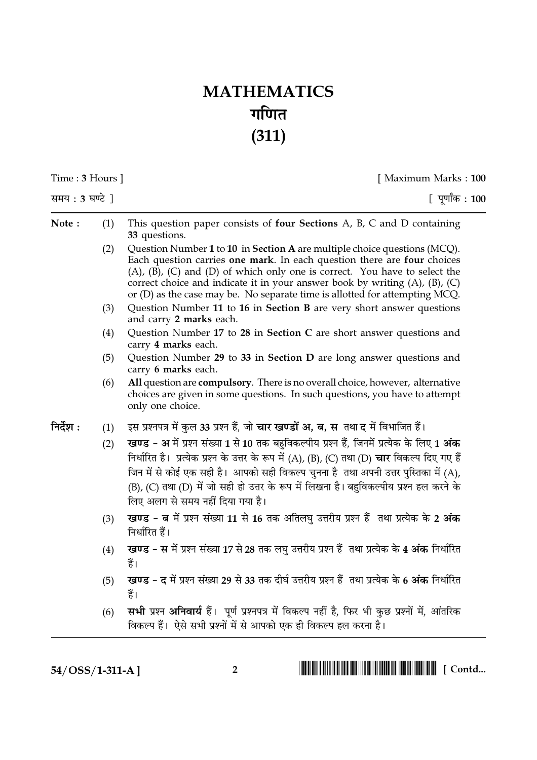## **MATHEMATICS** गणित  $(311)$

| Time: 3 Hours ] |     | [ Maximum Marks: 100                                                                                                                                                                                                                                                                                                                                                                                               |  |  |  |
|-----------------|-----|--------------------------------------------------------------------------------------------------------------------------------------------------------------------------------------------------------------------------------------------------------------------------------------------------------------------------------------------------------------------------------------------------------------------|--|--|--|
| समय: 3 घण्टे ]  |     | [पूर्णांक : 100                                                                                                                                                                                                                                                                                                                                                                                                    |  |  |  |
| Note:           | (1) | This question paper consists of four Sections A, B, C and D containing<br>33 questions.                                                                                                                                                                                                                                                                                                                            |  |  |  |
|                 | (2) | Question Number 1 to 10 in Section A are multiple choice questions (MCQ).<br>Each question carries one mark. In each question there are four choices<br>(A), (B), (C) and (D) of which only one is correct. You have to select the<br>correct choice and indicate it in your answer book by writing $(A)$ , $(B)$ , $(C)$<br>or $(D)$ as the case may be. No separate time is allotted for attempting MCQ.         |  |  |  |
|                 | (3) | Question Number 11 to 16 in Section B are very short answer questions<br>and carry 2 marks each.                                                                                                                                                                                                                                                                                                                   |  |  |  |
|                 | (4) | Question Number 17 to 28 in Section C are short answer questions and<br>carry 4 marks each.                                                                                                                                                                                                                                                                                                                        |  |  |  |
|                 | (5) | Question Number 29 to 33 in Section D are long answer questions and<br>carry 6 marks each.                                                                                                                                                                                                                                                                                                                         |  |  |  |
|                 | (6) | All question are compulsory. There is no overall choice, however, alternative<br>choices are given in some questions. In such questions, you have to attempt<br>only one choice.                                                                                                                                                                                                                                   |  |  |  |
| निर्देश :       | (1) | इस प्रश्नपत्र में कुल 33 प्रश्न हैं, जो <b>चार खण्डों अ, ब, स</b> तथा <b>द</b> में विभाजित हैं।                                                                                                                                                                                                                                                                                                                    |  |  |  |
|                 | (2) | खण्ड - अ में प्रश्न संख्या 1 से 10 तक बहुविकल्पीय प्रश्न हैं, जिनमें प्रत्येक के लिए 1 अंक<br>निर्धारित है। प्रत्येक प्रश्न के उत्तर के रूप में (A), (B), (C) तथा (D) चार विकल्प दिए गए हैं<br>जिन में से कोई एक सही है। आपको सही विकल्प चुनना है  तथा अपनी उत्तर पुस्तिका में (A),<br>(B), (C) तथा (D) में जो सही हो उत्तर के रूप में लिखना है। बहुविकल्पीय प्रश्न हल करने के<br>लिए अलग से समय नहीं दिया गया है। |  |  |  |
|                 | (3) | खण्ड - ब में प्रश्न संख्या 11 से 16 तक अतिलघु उत्तरीय प्रश्न हैं तथा प्रत्येक के 2 अंक<br>निर्धारित हैं।                                                                                                                                                                                                                                                                                                           |  |  |  |
|                 | (4) | खण्ड - स में प्रश्न संख्या 17 से 28 तक लघु उत्तरीय प्रश्न हैं तथा प्रत्येक के 4 अंक निर्धारित<br>हैं।                                                                                                                                                                                                                                                                                                              |  |  |  |
|                 | (5) | खण्ड - द में प्रश्न संख्या 29 से 33 तक दीर्घ उत्तरीय प्रश्न हैं तथा प्रत्येक के 6 अंक निर्धारित<br>हैं।                                                                                                                                                                                                                                                                                                            |  |  |  |
|                 | (6) | सभी प्रश्न अनिवार्य हैं। पूर्ण प्रश्नपत्र में विकल्प नहीं है, फिर भी कुछ प्रश्नों में, आंतरिक<br>विकल्प हैं।  ऐसे सभी प्रश्नों में से आपको एक ही विकल्प हल करना है।                                                                                                                                                                                                                                                |  |  |  |

54/OSS/1-311-A]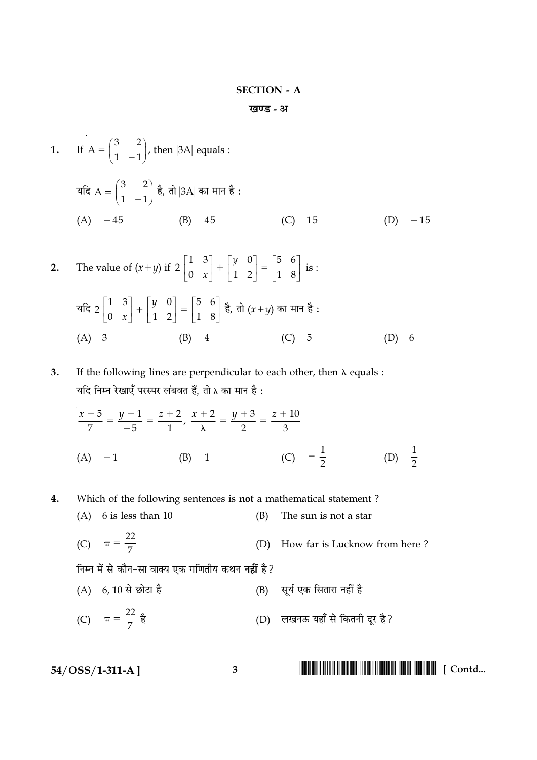### **SECTION - A**

```
खण्ड - अ
```
- **1.** If  $A = \begin{pmatrix} 3 & 2 \\ 1 & -1 \end{pmatrix}$ , then |3A| equals : यदि  $A = \begin{pmatrix} 3 & 2 \\ 1 & -1 \end{pmatrix}$  है, तो |3A| का मान है:  $(A) -45$  $(B)$  45  $(C)$ 15  $(D) -15$
- The value of  $(x+y)$  if  $2\begin{bmatrix} 1 & 3 \\ 0 & x \end{bmatrix} + \begin{bmatrix} y & 0 \\ 1 & 2 \end{bmatrix} = \begin{bmatrix} 5 & 6 \\ 1 & 8 \end{bmatrix}$  is :  $2.$ यदि 2  $\begin{bmatrix} 1 & 3 \\ 0 & x \end{bmatrix} + \begin{bmatrix} y & 0 \\ 1 & 2 \end{bmatrix} = \begin{bmatrix} 5 & 6 \\ 1 & 8 \end{bmatrix}$  है, तो  $(x+y)$  का मान है:  $(A)$  3  $(B)$  4  $(C)$  5  $(D) 6$
- $3.$ If the following lines are perpendicular to each other, then  $\lambda$  equals : यदि निम्न रेखाएँ परस्पर लंबवत हैं, तो  $\lambda$  का मान है :

$$
\frac{x-5}{7} = \frac{y-1}{-5} = \frac{z+2}{1}, \frac{x+2}{\lambda} = \frac{y+3}{2} = \frac{z+10}{3}
$$
  
(A) -1 (B) 1 (C) - $\frac{1}{2}$  (D)  $\frac{1}{2}$ 

- Which of the following sentences is not a mathematical statement? 4.
	- $(A)$  6 is less than 10  $(B)$ The sun is not a star
	- (C)  $\pi = \frac{22}{7}$ How far is Lucknow from here?  $(D)$

निम्न में से कौन-सा वाक्य एक गणितीय कथन **नहीं** है?

- (B) सूर्य एक सितारा नहीं है (A) 6, 10 से छोटा है
- (C)  $\pi = \frac{22}{7}$  है (D) लखनऊ यहाँ से कितनी दूर है?

 $\overline{\mathbf{3}}$ 

 $54/OSS/1-311-A$ ]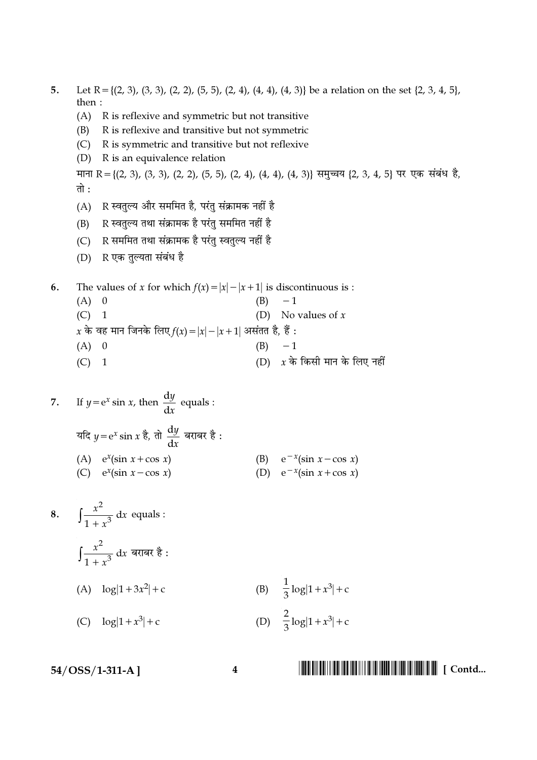- Let R = {(2, 3), (3, 3), (2, 2), (5, 5), (2, 4), (4, 4), (4, 3)} be a relation on the set {2, 3, 4, 5},  $\overline{5}$ . then:
	- (A) R is reflexive and symmetric but not transitive
	- R is reflexive and transitive but not symmetric (B)
	- R is symmetric and transitive but not reflexive  $(C)$
	- R is an equivalence relation  $(D)$

माना R = {(2, 3), (3, 3), (2, 2), (5, 5), (2, 4), (4, 4), (4, 3)} समुच्चय {2, 3, 4, 5} पर एक संबंध है, तो :

- R स्वतुल्य और सममित है, परंतु संक्रामक नहीं है  $(A)$
- R स्वतुल्य तथा संक्रामक है परंतु सममित नहीं है  $(B)$
- R सममित तथा संक्रामक है परंतु स्वतुल्य नहीं है  $(C)$
- (D) R एक तुल्यता संबंध है

The values of x for which  $f(x) = |x| - |x + 1|$  is discontinuous is : 6.

 $(A)$  0  $-1$  $(B)$ (D) No values of  $x$  $(C)$  1 x के वह मान जिनके लिए  $f(x) = |x| - |x + 1|$  असंतत है, हैं :  $(A)$  0  $(B) -1$ (D)  $x$  के किसी मान के लिए नहीं  $(C)$  1

7. If 
$$
y = e^x \sin x
$$
, then  $\frac{dy}{dx}$  equals:  
\n $4\pi$   $y = e^x \sin x \frac{3}{6}, \frac{dy}{dx}$   $4\pi$   $4\pi$   $4\pi$   $4\pi$   $4\pi$   $4\pi$   $4\pi$   $4\pi$   $4\pi$   $4\pi$   $4\pi$   $4\pi$   $4\pi$   $4\pi$   $4\pi$   $4\pi$   $4\pi$   $4\pi$   $4\pi$   $4\pi$   $4\pi$   $4\pi$   $4\pi$   $4\pi$   $4\pi$   $4\pi$   $4\pi$   $4\pi$   $4\pi$   $4\pi$   $4\pi$   $4\pi$   $4\pi$   $4\pi$   $4\pi$   $4\pi$   $4\pi$   $4\pi$   $4\pi$   $4\pi$   $4\pi$   $4\pi$   $4\pi$   $4\pi$   $4\pi$   $4\pi$   $4\pi$   $4\pi$   $4\pi$   $4\pi$   $4\pi$   $4\pi$   $4\pi$   $4\pi$   $4\pi$   $4\pi$   $4\pi$   $4\pi$   $4\pi$   $4\pi$   $4\pi$   $4\pi$   $4\pi$   $4\pi$   $4\pi$   $4\pi$   $4\pi$   $4\pi$   $4\pi$   $4\$ 

8. 
$$
\int \frac{x^2}{1+x^3} dx
$$
 equals:  
\n $\int \frac{x^2}{1+x^3} dx$  =  $\int \frac{x^2}{1+x^3} dx$  =  $\int \frac{1}{1+x^3} dx$  =  $\int \frac{1}{1+x^3} dx$  =  $\int \frac{1}{1+x^3} dx$  =  $\int \frac{1}{1+x^3} dx$  =  $\int \frac{1}{1+x^3} dx$  =  $\int \frac{1}{1+x^3} dx$  =  $\int \frac{1}{1+x^3} dx$  =  $\int \frac{1}{1+x^3} dx$  =  $\int \frac{1}{1+x^3} dx$  =  $\int \frac{1}{1+x^3} dx$  =  $\int \frac{1}{1+x^3} dx$  =  $\int \frac{1}{1+x^3} dx$  =  $\int \frac{1}{1+x^3} dx$  =  $\int \frac{1}{1+x^3} dx$  =  $\int \frac{1}{1+x^3} dx$  =  $\int \frac{1}{1+x^3} dx$  =  $\int \frac{1}{1+x^3} dx$  =  $\int \frac{1}{1+x^3} dx$  =  $\int \frac{1}{1+x^3} dx$  =  $\int \frac{1}{1+x^3} dx$  =  $\int \frac{1}{1+x^3} dx$  =  $\int \frac{1}{1+x^3} dx$  =  $\int \frac{1}{1+x^3} dx$  =  $\int \frac{1}{1+x^3} dx$  =  $\int \frac{1}{1+x^3} dx$  =  $\int \frac{1}{1+x^3} dx$  =  $\int \frac{1}{1+x^3} dx$  =  $\int \frac{1}{1+x^3} dx$  =  $\int \frac{1}{1+x^3} dx$  =  $\int \frac{1}{1+x^3} dx$  =  $\int \frac{1}{1+x^3} dx$  =  $\int \frac{1}{1+x^3} dx$  =  $\int \frac{1}{1+x^3} dx$  =  $\int \frac{1}{1+x^3} dx$  =  $\int \frac{1}{1+x^3} dx$  =  $\int \frac{1}{1+x^3} dx$  =  $\int \frac{1}{1+x^3} dx$ 

 $54/OSS/1-311-A$ ]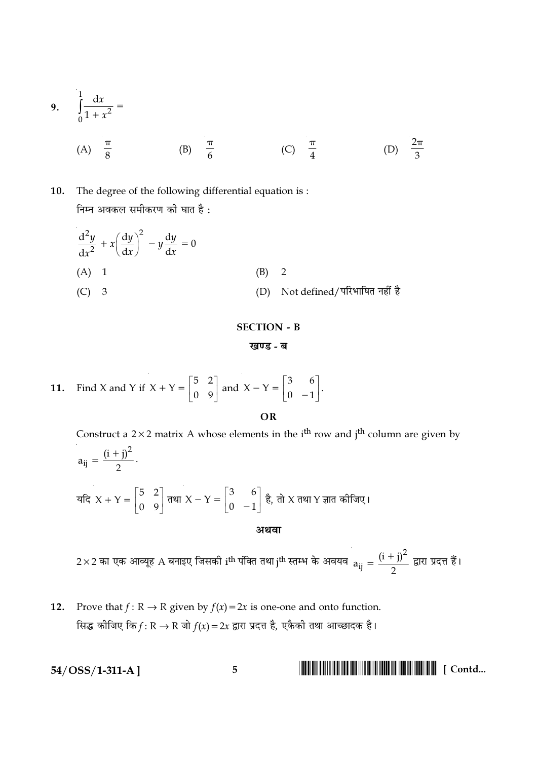9. 
$$
\int_{0}^{1} \frac{dx}{1 + x^2} =
$$
  
\n(A)  $\frac{\pi}{8}$  (B)  $\frac{\pi}{6}$  (C)  $\frac{\pi}{4}$  (D)  $\frac{2\pi}{3}$ 

#### 10. The degree of the following differential equation is: निम्न अवकल समीकरण की घात है:

$$
\frac{d^2y}{dx^2} + x \left(\frac{dy}{dx}\right)^2 - y \frac{dy}{dx} = 0
$$
\n(A) 1\n(B) 2\n(C) 3\n(D) Not defined/T\nQH\nQH\nQH

## **SECTION - B** खण्ड - ब

11. Find X and Y if 
$$
X + Y = \begin{bmatrix} 5 & 2 \\ 0 & 9 \end{bmatrix}
$$
 and  $X - Y = \begin{bmatrix} 3 & 6 \\ 0 & -1 \end{bmatrix}$ 

OR

Construct a  $2 \times 2$  matrix A whose elements in the i<sup>th</sup> row and j<sup>th</sup> column are given by  $a_{ij} = \frac{(i+j)^2}{2}$ . यदि X + Y =  $\begin{bmatrix} 5 & 2 \\ 0 & 9 \end{bmatrix}$  तथा X – Y =  $\begin{bmatrix} 3 & 6 \\ 0 & -1 \end{bmatrix}$  है, तो X तथा Y ज्ञात कोजिए। अथवा

 $2\times 2$  का एक आव्यूह A बनाइए जिसकी i<sup>th</sup> पंक्ति तथा j<sup>th</sup> स्तम्भ के अवयव  $a_{ij} = \frac{(i + j)^2}{2}$  द्वारा प्रदत्त हैं।

Prove that  $f: \mathbb{R} \to \mathbb{R}$  given by  $f(x) = 2x$  is one-one and onto function. 12. सिद्ध कीजिए कि $f: \mathbb{R} \to \mathbb{R}$  जो  $f(x) = 2x$  द्वारा प्रदत्त है, एकैकी तथा आच्छादक है।

$$
54/\mathrm{OSS}/1\text{-}311\text{-}A\,\boldsymbol{]}
$$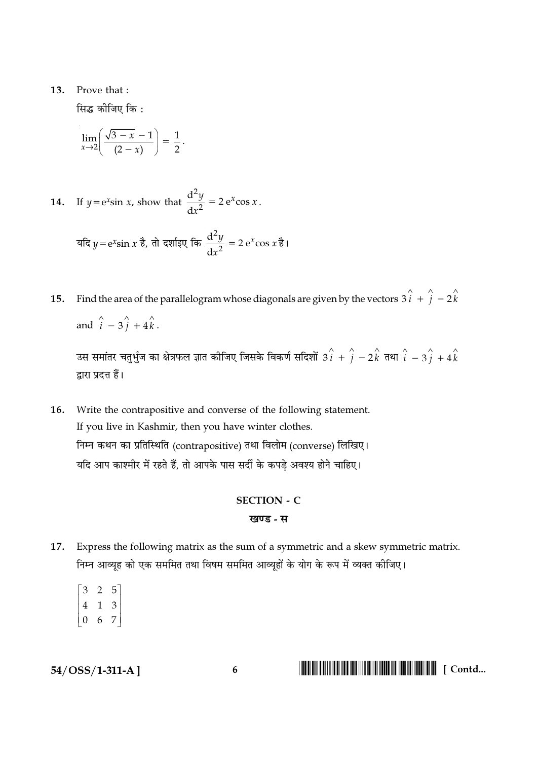#### 13. Prove that:

सिद्ध कीजिए कि :

$$
\lim_{x\to 2}\left(\frac{\sqrt{3-x}-1}{(2-x)}\right)=\frac{1}{2}.
$$

- 14. If  $y = e^x \sin x$ , show that  $\frac{d^2y}{dx^2} = 2e^x \cos x$ . यदि  $y = e^x \sin x$  है, तो दर्शाइए कि  $\frac{d^2y}{dx^2} = 2 e^x \cos x$  है।
- Find the area of the parallelogram whose diagonals are given by the vectors  $3\hat{i} + \hat{j} 2\hat{k}$ 15. and  $\hat{i}$  –  $3\hat{j}$  +  $4\hat{k}$ .

उस समांतर चतुर्भुज का क्षेत्रफल ज्ञात कीजिए जिसके विकर्ण सदिशों  $3\hat{i} + \hat{j} - 2\hat{k}$  तथा  $\hat{i} - 3\hat{j} + 4\hat{k}$ द्वारा प्रदत्त हैं।

16. Write the contrapositive and converse of the following statement. If you live in Kashmir, then you have winter clothes. निम्न कथन का प्रतिस्थिति (contrapositive) तथा विलोम (converse) लिखिए। यदि आप काश्मीर में रहते हैं, तो आपके पास सर्दी के कपडे अवश्य होने चाहिए।

## **SECTION - C** खण्ड - स

- Express the following matrix as the sum of a symmetric and a skew symmetric matrix. 17. निम्न आव्यूह को एक सममित तथा विषम सममित आव्यूहों के योग के रूप में व्यक्त कीजिए।
	- $\begin{bmatrix} 3 & 2 & 5 \\ 4 & 1 & 3 \\ 0 & 6 & 7 \end{bmatrix}$

 $54/OSS/1-311-A$ ]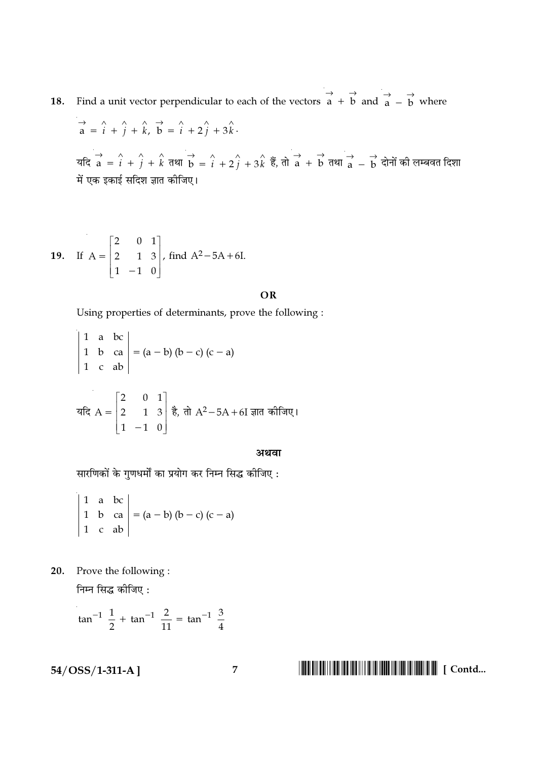**18.** Find a unit vector perpendicular to each of the vectors  $\overrightarrow{a} + \overrightarrow{b}$  and  $\overrightarrow{a} - \overrightarrow{b}$  where

$$
\vec{a} = \hat{i} + \hat{j} + \hat{k}, \ \vec{b} = \hat{i} + 2\hat{j} + 3\hat{k}.
$$
  
\n
$$
\vec{a} = \hat{i} + \hat{j} + \hat{k}, \ \vec{b} = \hat{i} + 2\hat{j} + 3\hat{k}.
$$
  
\n
$$
\vec{a} = \hat{i} + \hat{j} + \hat{k}, \ \vec{a} = \hat{i} + 2\hat{j} + 3\hat{k}, \ \vec{b} = \hat{i} + 2\hat{j} + 3\hat{k}, \ \vec{c} = \hat{i} + 2\hat{j} + 3\hat{k}
$$
  
\n
$$
\vec{a} = \vec{b} + 2\hat{k}.
$$

**19.** If 
$$
A = \begin{bmatrix} 2 & 0 & 1 \\ 2 & 1 & 3 \\ 1 & -1 & 0 \end{bmatrix}
$$
, find  $A^2 - 5A + 6I$ .

OR

Using properties of determinants, prove the following :

#### अथवा

सारणिकों के गुणधर्मों का प्रयोग कर निम्न सिद्ध कीजिए :

$$
\begin{vmatrix} 1 & a & bc \\ 1 & b & ca \\ 1 & c & ab \end{vmatrix} = (a - b) (b - c) (c - a)
$$

20. Prove the following :

निम्न सिद्ध कीजिए :

$$
an^{-1} \frac{1}{2} + \tan^{-1} \frac{2}{11} = \tan^{-1} \frac{3}{4}
$$

 $54/OSS/1-311-A$ ]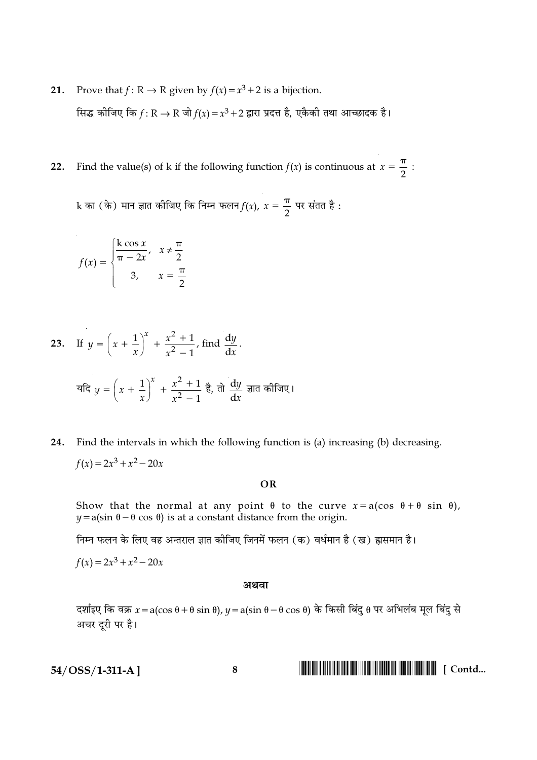- Prove that  $f: \mathbb{R} \to \mathbb{R}$  given by  $f(x) = x^3 + 2$  is a bijection. 21. सिद्ध कीजिए कि  $f: \mathbb{R} \to \mathbb{R}$  जो  $f(x) = x^3 + 2$  द्वारा प्रदत्त है, एकैकी तथा आच्छादक है।
- Find the value(s) of k if the following function  $f(x)$  is continuous at  $x = \frac{\pi}{2}$ :  $22.$

k का (के) मान ज्ञात कीजिए कि निम्न फलन $f(x)$ ,  $x = \frac{\pi}{2}$  पर संतत है:

$$
f(x) = \begin{cases} \frac{k \cos x}{\pi - 2x}, & x \neq \frac{\pi}{2} \\ 3, & x = \frac{\pi}{2} \end{cases}
$$

23. If 
$$
y = \left(x + \frac{1}{x}\right)^x + \frac{x^2 + 1}{x^2 - 1}
$$
, find  $\frac{dy}{dx}$ .  
\n
$$
\overline{dg} y = \left(x + \frac{1}{x}\right)^x + \frac{x^2 + 1}{x^2 - 1} \ge \overline{g}
$$
,  $\overline{d} \frac{dy}{dx} = \overline{g}$ 

Find the intervals in which the following function is (a) increasing (b) decreasing. 24.  $f(x) = 2x^3 + x^2 - 20x$ 

#### OR

Show that the normal at any point  $\theta$  to the curve  $x = a(\cos \theta + \theta \sin \theta)$ ,  $y = a(\sin \theta - \theta \cos \theta)$  is at a constant distance from the origin.

निम्न फलन के लिए वह अन्तराल ज्ञात कीजिए जिनमें फलन (क) वर्धमान है (ख) ह्रासमान है।

 $f(x) = 2x^3 + x^2 - 20x$ 

#### अथवा

दर्शाइए कि वक्र  $x = a(\cos \theta + \theta \sin \theta)$ ,  $y = a(\sin \theta - \theta \cos \theta)$  के किसी बिंदु  $\theta$  पर अभिलंब मूल बिंदु से अचर दूरी पर है।

 $54/OSS/1-311-A$ ]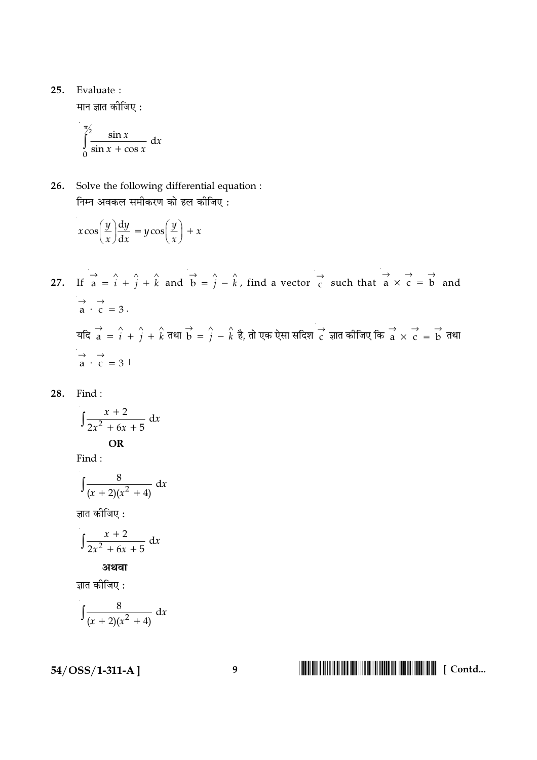25. Evaluate:

मान ज्ञात कीजिए :

$$
\int_{0}^{\frac{\pi}{2}} \frac{\sin x}{\sin x + \cos x} dx
$$

26. Solve the following differential equation : निम्न अवकल समीकरण को हल कीजिए :

$$
x \cos\left(\frac{y}{x}\right) \frac{dy}{dx} = y \cos\left(\frac{y}{x}\right) + x
$$

- 27. If  $\vec{a} = \hat{i} + \hat{j} + \hat{k}$  and  $\vec{b} = \hat{j} \hat{k}$ , find a vector  $\vec{c}$  such that  $\vec{a} \times \vec{c} = \vec{b}$  and  $\overrightarrow{a} \cdot \overrightarrow{c} = 3$ . यदि  $\overrightarrow{a} = \hat{i} + \hat{j} + \hat{k}$  तथा  $\overrightarrow{b} = \hat{j} - \hat{k}$  है, तो एक ऐसा सदिश  $\overrightarrow{c}$  ज्ञात कीजिए कि  $\overrightarrow{a} \times \overrightarrow{c} = \overrightarrow{b}$  तथा  $\overrightarrow{a} \cdot \overrightarrow{c} = 3$
- 28. Find:

$$
\int \frac{x+2}{2x^2+6x+5} \, \mathrm{d}x
$$
OR

Find:

$$
\int \frac{8}{(x+2)(x^2+4)} \, \mathrm{d}x
$$

ज्ञात कीजिए :

$$
\int \frac{x+2}{2x^2+6x+5} \, \mathrm{d}x
$$

अथवा

ज्ञात कीजिए :

$$
\int \frac{8}{(x+2)(x^2+4)} \, \mathrm{d}x
$$

 $54/OSS/1-311-A$ ]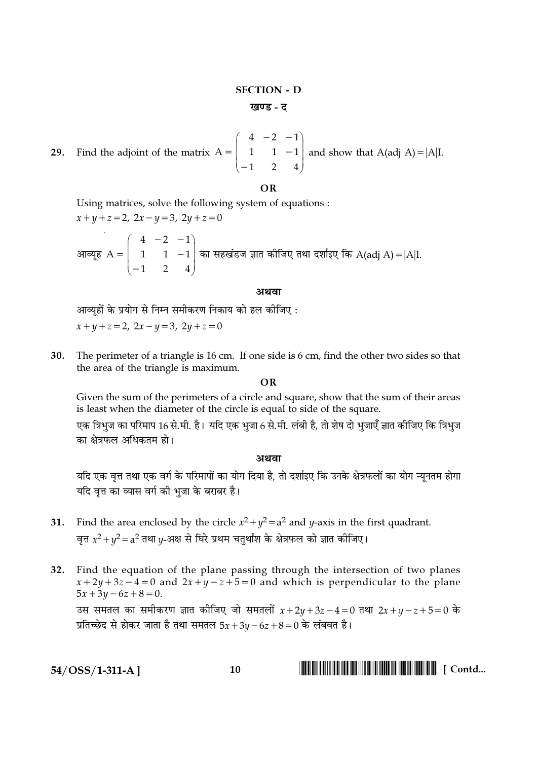### **SECTION - D** खण्ड - त

29. Find the adjoint of the matrix  $A = \begin{pmatrix} 4 & -2 & -1 \\ 1 & 1 & -1 \\ -1 & 2 & 4 \end{pmatrix}$  and show that  $A(adj A) = |A|I$ .

#### $\Omega$

Using matrices, solve the following system of equations :

 $x+y+z=2$ ,  $2x-y=3$ ,  $2y+z=0$ आव्यूह $A = \begin{pmatrix} 4 & -2 & -1 \\ 1 & 1 & -1 \\ -1 & 2 & 4 \end{pmatrix}$ का सहखंडज ज्ञात कीजिए तथा दर्शाइए कि A(adj A) = |A|I.

#### अथवा

आव्यूहों के प्रयोग से निम्न समीकरण निकाय को हल कीजिए :

 $x+y+z=2$ ,  $2x-y=3$ ,  $2y+z=0$ 

30. The perimeter of a triangle is 16 cm. If one side is 6 cm, find the other two sides so that the area of the triangle is maximum.

#### $\overline{OR}$

Given the sum of the perimeters of a circle and square, show that the sum of their areas is least when the diameter of the circle is equal to side of the square.

एक त्रिभुज का परिमाप 16 से.मी. है। यदि एक भुजा 6 से.मी. लंबी है, तो शेष दो भुजाएँ ज्ञात कीजिए कि त्रिभुज का क्षेत्रफल अधिकतम हो।

#### अथवा

यदि एक वृत्त तथा एक वर्ग के परिमापों का योग दिया है, तो दर्शाइए कि उनके क्षेत्रफलों का योग न्यूनतम होगा यदि वत्त का व्यास वर्ग की भजा के बराबर है।

- 31. Find the area enclosed by the circle  $x^2 + y^2 = a^2$  and y-axis in the first quadrant. वृत्त  $x^2 + y^2 = a^2$  तथा  $y$ -अक्ष से घिरे प्रथम चतुर्थांश के क्षेत्रफल को ज्ञात कीजिए।
- 32. Find the equation of the plane passing through the intersection of two planes  $x+2y+3z-4=0$  and  $2x+y-z+5=0$  and which is perpendicular to the plane  $5x + 3y - 6z + 8 = 0.$ उस समतल का समीकरण ज्ञात कीजिए जो समतलों  $x + 2y + 3z - 4 = 0$  तथा  $2x + y - z + 5 = 0$  के प्रतिच्छेद से होकर जाता है तथा समतल  $5x+3y-6z+8=0$  के लंबवत है।

 $54/OSS/1-311-A$ ]